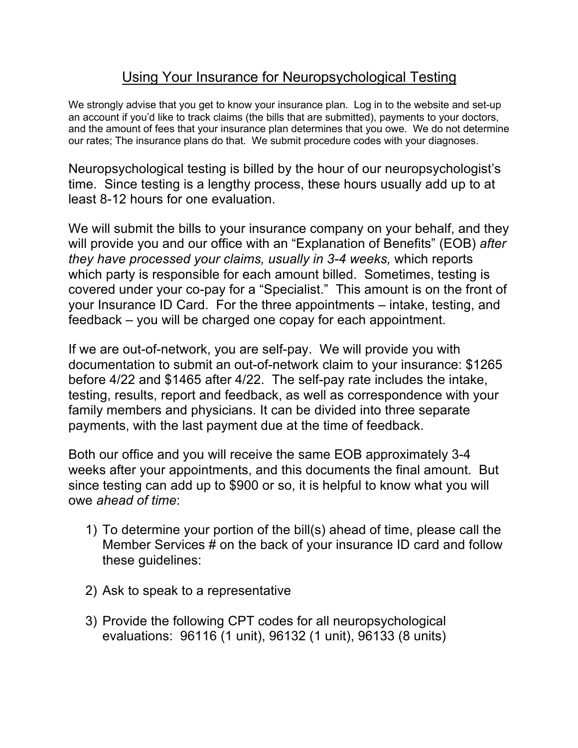## Using Your Insurance for Neuropsychological Testing

We strongly advise that you get to know your insurance plan. Log in to the website and set-up an account if you'd like to track claims (the bills that are submitted), payments to your doctors, and the amount of fees that your insurance plan determines that you owe. We do not determine our rates; The insurance plans do that. We submit procedure codes with your diagnoses.

Neuropsychological testing is billed by the hour of our neuropsychologist's time. Since testing is a lengthy process, these hours usually add up to at least 8-12 hours for one evaluation.

We will submit the bills to your insurance company on your behalf, and they will provide you and our office with an "Explanation of Benefits" (EOB) *after they have processed your claims, usually in 3-4 weeks,* which reports which party is responsible for each amount billed. Sometimes, testing is covered under your co-pay for a "Specialist." This amount is on the front of your Insurance ID Card. For the three appointments – intake, testing, and feedback – you will be charged one copay for each appointment.

If we are out-of-network, you are self-pay. We will provide you with documentation to submit an out-of-network claim to your insurance: \$1265 before 4/22 and \$1465 after 4/22. The self-pay rate includes the intake, testing, results, report and feedback, as well as correspondence with your family members and physicians. It can be divided into three separate payments, with the last payment due at the time of feedback.

Both our office and you will receive the same EOB approximately 3-4 weeks after your appointments, and this documents the final amount. But since testing can add up to \$900 or so, it is helpful to know what you will owe *ahead of time*:

- 1) To determine your portion of the bill(s) ahead of time, please call the Member Services # on the back of your insurance ID card and follow these guidelines:
- 2) Ask to speak to a representative
- 3) Provide the following CPT codes for all neuropsychological evaluations: 96116 (1 unit), 96132 (1 unit), 96133 (8 units)